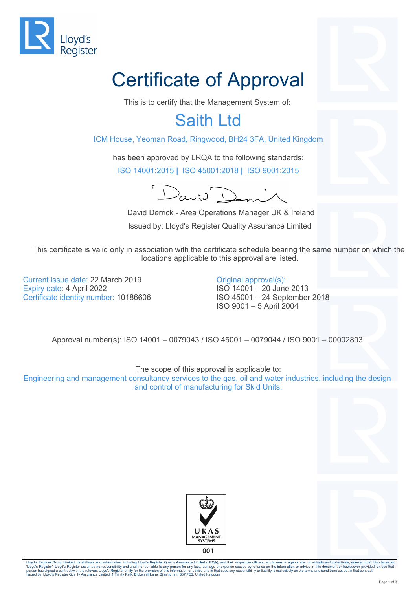

## Certificate of Approval

This is to certify that the Management System of:

## Saith Ltd

ICM House, Yeoman Road, Ringwood, BH24 3FA, United Kingdom

has been approved by LRQA to the following standards: ISO 14001:2015 **|** ISO 45001:2018 **|** ISO 9001:2015

 $D$ anid $D$ 

 David Derrick - Area Operations Manager UK & Ireland Issued by: Lloyd's Register Quality Assurance Limited

This certificate is valid only in association with the certificate schedule bearing the same number on which the locations applicable to this approval are listed.

Current issue date: 22 March 2019 Expiry date: 4 April 2022 Certificate identity number: 10186606

Original approval(s): ISO 14001 – 20 June 2013 ISO 45001 – 24 September 2018 ISO 9001 – 5 April 2004

Approval number(s): ISO 14001 – 0079043 / ISO 45001 – 0079044 / ISO 9001 – 00002893

The scope of this approval is applicable to: Engineering and management consultancy services to the gas, oil and water industries, including the design and control of manufacturing for Skid Units.





Lloyd's Register Group Limited, its affiliates and subsidiaries, including Lloyd's Register Quality Assurance Limited (LRQA), and their respective officers, employees or agents are, individually and collectively, referred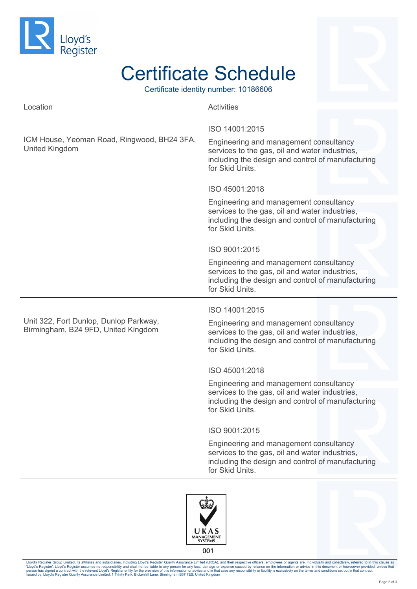

## Certificate Schedule

Certificate identity number: 10186606

| Location                                                                      | <b>Activities</b>                                                                                                                                                                                    |
|-------------------------------------------------------------------------------|------------------------------------------------------------------------------------------------------------------------------------------------------------------------------------------------------|
| ICM House, Yeoman Road, Ringwood, BH24 3FA,<br><b>United Kingdom</b>          | ISO 14001:2015<br>Engineering and management consultancy<br>services to the gas, oil and water industries,<br>including the design and control of manufacturing<br>for Skid Units.<br>ISO 45001:2018 |
|                                                                               | Engineering and management consultancy                                                                                                                                                               |
|                                                                               | services to the gas, oil and water industries,<br>including the design and control of manufacturing<br>for Skid Units.                                                                               |
|                                                                               | ISO 9001:2015                                                                                                                                                                                        |
|                                                                               | Engineering and management consultancy<br>services to the gas, oil and water industries,<br>including the design and control of manufacturing<br>for Skid Units.                                     |
|                                                                               | ISO 14001:2015                                                                                                                                                                                       |
| Unit 322, Fort Dunlop, Dunlop Parkway,<br>Birmingham, B24 9FD, United Kingdom | Engineering and management consultancy<br>services to the gas, oil and water industries,<br>including the design and control of manufacturing<br>for Skid Units.                                     |
|                                                                               | ISO 45001:2018                                                                                                                                                                                       |
|                                                                               | Engineering and management consultancy<br>services to the gas, oil and water industries,<br>including the design and control of manufacturing<br>for Skid Units                                      |
|                                                                               | ISO 9001:2015                                                                                                                                                                                        |
|                                                                               | Engineering and management consultancy<br>services to the gas, oil and water industries,<br>including the design and control of manufacturing<br>for Skid Units.                                     |
|                                                                               |                                                                                                                                                                                                      |